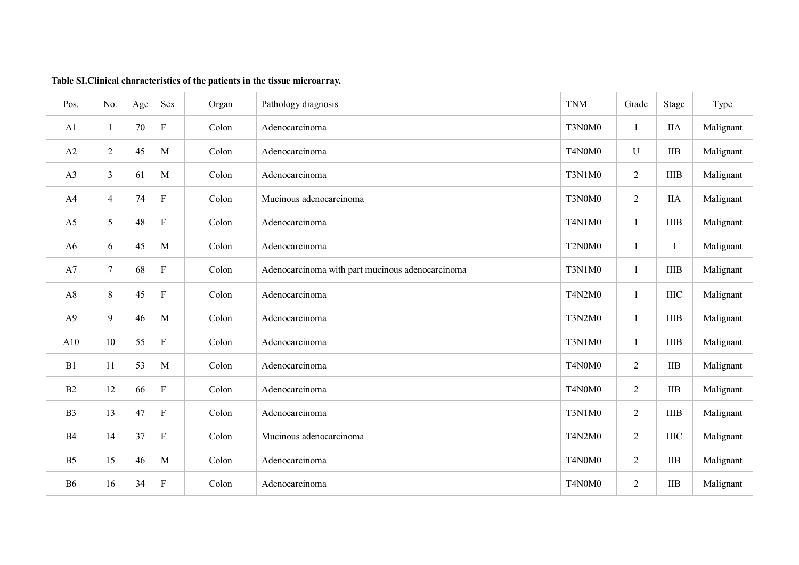| Pos.           | No.            | Age | Sex         | Organ | Pathology diagnosis                              | <b>TNM</b>    | Grade          | Stage       | Type      |
|----------------|----------------|-----|-------------|-------|--------------------------------------------------|---------------|----------------|-------------|-----------|
| A <sub>1</sub> | 1              | 70  | ${\bf F}$   | Colon | Adenocarcinoma                                   | T3N0M0        | 1              | <b>IIA</b>  | Malignant |
| A2             | $\overline{c}$ | 45  | M           | Colon | Adenocarcinoma                                   | T4N0M0        | ${\bf U}$      | IIB         | Malignant |
| A <sub>3</sub> | 3              | 61  | M           | Colon | Adenocarcinoma                                   | T3N1M0        | $\overline{2}$ | $\rm IIIB$  | Malignant |
| A4             | 4              | 74  | ${\bf F}$   | Colon | Mucinous adenocarcinoma                          | T3N0M0        | $\overline{2}$ | <b>IIA</b>  | Malignant |
| A <sub>5</sub> | 5              | 48  | ${\bf F}$   | Colon | Adenocarcinoma                                   | T4N1M0        | $\mathbf{1}$   | <b>IIIB</b> | Malignant |
| A <sub>6</sub> | 6              | 45  | M           | Colon | Adenocarcinoma                                   | T2N0M0        | $\mathbf{1}$   | I           | Malignant |
| A7             | $\tau$         | 68  | ${\bf F}$   | Colon | Adenocarcinoma with part mucinous adenocarcinoma | T3N1M0        | $\mathbf{1}$   | IIIB        | Malignant |
| A8             | 8              | 45  | $\mathbf F$ | Colon | Adenocarcinoma                                   | <b>T4N2M0</b> | $\mathbf{1}$   | <b>IIIC</b> | Malignant |
| A <sub>9</sub> | 9              | 46  | M           | Colon | Adenocarcinoma                                   | <b>T3N2M0</b> | $\mathbf{1}$   | <b>IIIB</b> | Malignant |
| A10            | 10             | 55  | ${\bf F}$   | Colon | Adenocarcinoma                                   | <b>T3N1M0</b> | $\mathbf{1}$   | $\rm IIIB$  | Malignant |
| B1             | 11             | 53  | $\mathbf M$ | Colon | Adenocarcinoma                                   | T4N0M0        | $\overline{2}$ | IIB         | Malignant |
| B2             | 12             | 66  | ${\bf F}$   | Colon | Adenocarcinoma                                   | T4N0M0        | $\overline{2}$ | IIB         | Malignant |
| B <sub>3</sub> | 13             | 47  | ${\bf F}$   | Colon | Adenocarcinoma                                   | T3N1M0        | $\overline{2}$ | <b>IIIB</b> | Malignant |
| <b>B4</b>      | 14             | 37  | ${\bf F}$   | Colon | Mucinous adenocarcinoma                          | <b>T4N2M0</b> | $\overline{2}$ | $\rm~IIIC$  | Malignant |
| B <sub>5</sub> | 15             | 46  | $\mathbf M$ | Colon | Adenocarcinoma                                   | T4N0M0        | $\overline{2}$ | IIB         | Malignant |
| <b>B6</b>      | 16             | 34  | ${\bf F}$   | Colon | Adenocarcinoma                                   | T4N0M0        | $\overline{2}$ | IIB         | Malignant |

**Table SI.Clinical characteristics of the patients in the tissue microarray.**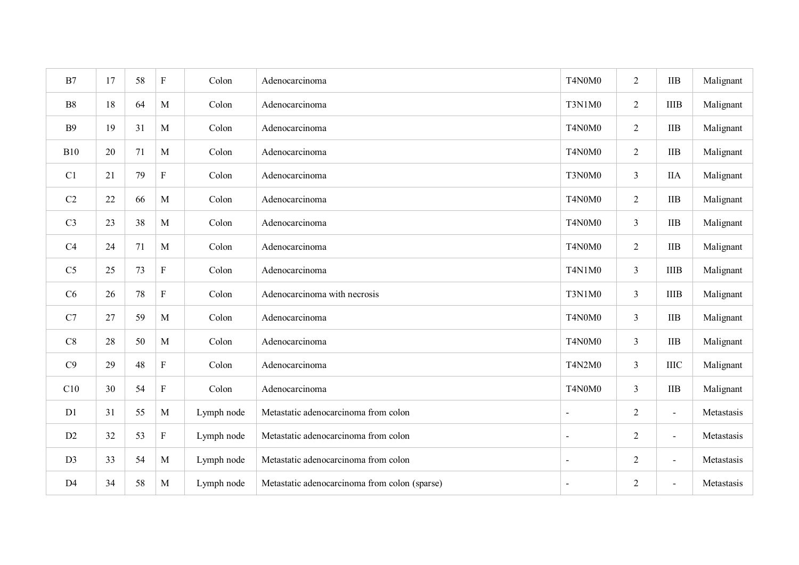| B7             | 17 | 58     | $\rm F$      | Colon      | Adenocarcinoma                                | T4N0M0                   | $\overline{2}$ | <b>IIB</b>     | Malignant  |
|----------------|----|--------|--------------|------------|-----------------------------------------------|--------------------------|----------------|----------------|------------|
| <b>B8</b>      | 18 | 64     | M            | Colon      | Adenocarcinoma                                | T3N1M0                   | 2              | <b>IIIB</b>    | Malignant  |
| <b>B</b> 9     | 19 | 31     | $\mathbf{M}$ | Colon      | Adenocarcinoma                                | T4N0M0                   | $\overline{2}$ | <b>IIB</b>     | Malignant  |
| <b>B10</b>     | 20 | 71     | $\mathbf M$  | Colon      | Adenocarcinoma                                | T4N0M0                   | $\mathfrak{2}$ | <b>IIB</b>     | Malignant  |
| C1             | 21 | 79     | $\rm F$      | Colon      | Adenocarcinoma                                | T3N0M0                   | $\mathfrak{Z}$ | <b>IIA</b>     | Malignant  |
| C2             | 22 | 66     | $\mathbf M$  | Colon      | Adenocarcinoma                                | T4N0M0                   | $\overline{2}$ | <b>IIB</b>     | Malignant  |
| C <sub>3</sub> | 23 | 38     | $\mathbf M$  | Colon      | Adenocarcinoma                                | T4N0M0                   | $\overline{3}$ | <b>IIB</b>     | Malignant  |
| C4             | 24 | 71     | M            | Colon      | Adenocarcinoma                                | T4N0M0                   | $\overline{2}$ | IIB            | Malignant  |
| C <sub>5</sub> | 25 | 73     | ${\bf F}$    | Colon      | Adenocarcinoma                                | <b>T4N1M0</b>            | $\mathfrak{Z}$ | <b>IIIB</b>    | Malignant  |
| C6             | 26 | $78\,$ | $\mathbf F$  | Colon      | Adenocarcinoma with necrosis                  | T3N1M0                   | $\mathfrak{Z}$ | <b>IIIB</b>    | Malignant  |
| C7             | 27 | 59     | $\mathbf M$  | Colon      | Adenocarcinoma                                | T4N0M0                   | $\mathfrak{Z}$ | <b>IIB</b>     | Malignant  |
| C8             | 28 | 50     | $\mathbf{M}$ | Colon      | Adenocarcinoma                                | T4N0M0                   | $\mathfrak{Z}$ | <b>IIB</b>     | Malignant  |
| C9             | 29 | 48     | $\rm F$      | Colon      | Adenocarcinoma                                | T4N2M0                   | $\mathfrak{Z}$ | $\rm{HIC}$     | Malignant  |
| C10            | 30 | 54     | $\rm F$      | Colon      | Adenocarcinoma                                | T4N0M0                   | $\mathfrak{Z}$ | <b>IIB</b>     | Malignant  |
| D <sub>1</sub> | 31 | 55     | $\mathbf M$  | Lymph node | Metastatic adenocarcinoma from colon          | $\overline{\phantom{a}}$ | $\mathfrak{2}$ | $\blacksquare$ | Metastasis |
| D2             | 32 | 53     | ${\bf F}$    | Lymph node | Metastatic adenocarcinoma from colon          | $\blacksquare$           | $\mathfrak{2}$ | $\blacksquare$ | Metastasis |
| D <sub>3</sub> | 33 | 54     | $\mathbf M$  | Lymph node | Metastatic adenocarcinoma from colon          |                          | $\mathfrak{2}$ | $\blacksquare$ | Metastasis |
| D <sub>4</sub> | 34 | 58     | $\mathbf M$  | Lymph node | Metastatic adenocarcinoma from colon (sparse) |                          | $\overline{2}$ | $\blacksquare$ | Metastasis |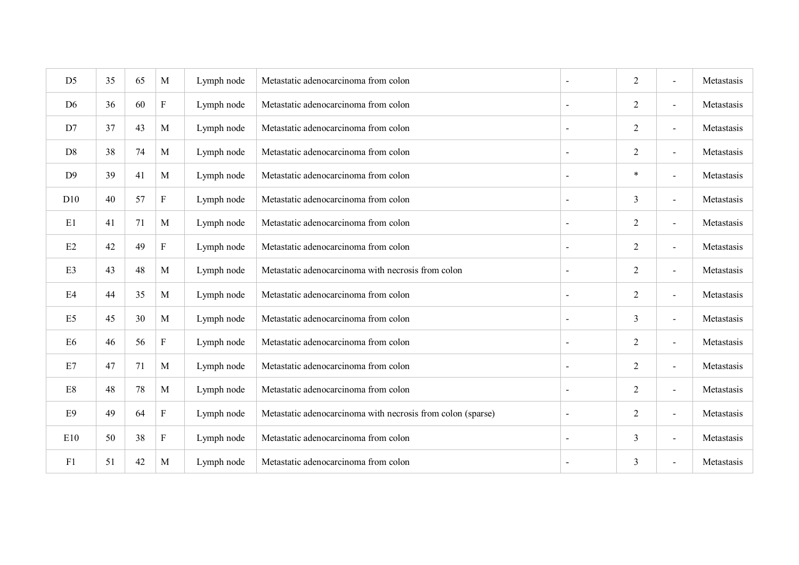| D <sub>5</sub> | 35 | 65 | $\mathbf{M}$              | Lymph node | Metastatic adenocarcinoma from colon                        | $\blacksquare$           | $\overline{2}$ | $\blacksquare$           | Metastasis |
|----------------|----|----|---------------------------|------------|-------------------------------------------------------------|--------------------------|----------------|--------------------------|------------|
| D <sub>6</sub> | 36 | 60 | ${\bf F}$                 | Lymph node | Metastatic adenocarcinoma from colon                        | $\sim$                   | $\overline{2}$ | $\blacksquare$           | Metastasis |
| D7             | 37 | 43 | $\mathbf M$               | Lymph node | Metastatic adenocarcinoma from colon                        | $\sim$                   | $\overline{c}$ | $\blacksquare$           | Metastasis |
| D <sub>8</sub> | 38 | 74 | $\mathbf{M}$              | Lymph node | Metastatic adenocarcinoma from colon                        | $\blacksquare$           | $\overline{2}$ | $\blacksquare$           | Metastasis |
| D <sub>9</sub> | 39 | 41 | M                         | Lymph node | Metastatic adenocarcinoma from colon                        |                          | $\ast$         | $\overline{\phantom{a}}$ | Metastasis |
| D10            | 40 | 57 | ${\bf F}$                 | Lymph node | Metastatic adenocarcinoma from colon                        | $\blacksquare$           | 3              | $\blacksquare$           | Metastasis |
| E1             | 41 | 71 | $\mathbf{M}$              | Lymph node | Metastatic adenocarcinoma from colon                        | $\blacksquare$           | $\overline{2}$ | $\blacksquare$           | Metastasis |
| E2             | 42 | 49 | ${\bf F}$                 | Lymph node | Metastatic adenocarcinoma from colon                        | $\overline{\phantom{a}}$ | $\overline{2}$ | $\sim$                   | Metastasis |
| E <sub>3</sub> | 43 | 48 | $\mathbf{M}$              | Lymph node | Metastatic adenocarcinoma with necrosis from colon          | $\sim$                   | $\overline{c}$ | $\blacksquare$           | Metastasis |
| E <sub>4</sub> | 44 | 35 | $\mathbf M$               | Lymph node | Metastatic adenocarcinoma from colon                        | $\overline{\phantom{a}}$ | $\overline{2}$ | $\blacksquare$           | Metastasis |
| E <sub>5</sub> | 45 | 30 | $\mathbf M$               | Lymph node | Metastatic adenocarcinoma from colon                        | $\blacksquare$           | 3              | $\blacksquare$           | Metastasis |
| E <sub>6</sub> | 46 | 56 | $\boldsymbol{\mathrm{F}}$ | Lymph node | Metastatic adenocarcinoma from colon                        | $\sim$                   | $\overline{2}$ | $\overline{\phantom{a}}$ | Metastasis |
| E7             | 47 | 71 | $\mathbf M$               | Lymph node | Metastatic adenocarcinoma from colon                        | $\blacksquare$           | $\overline{2}$ | $\blacksquare$           | Metastasis |
| E8             | 48 | 78 | $\mathbf{M}$              | Lymph node | Metastatic adenocarcinoma from colon                        | $\sim$                   | $\overline{2}$ | $\sim$                   | Metastasis |
| E <sub>9</sub> | 49 | 64 | ${\bf F}$                 | Lymph node | Metastatic adenocarcinoma with necrosis from colon (sparse) | $\blacksquare$           | $\overline{2}$ | $\overline{\phantom{a}}$ | Metastasis |
| E10            | 50 | 38 | ${\bf F}$                 | Lymph node | Metastatic adenocarcinoma from colon                        |                          | 3              | $\blacksquare$           | Metastasis |
| F1             | 51 | 42 | M                         | Lymph node | Metastatic adenocarcinoma from colon                        | $\sim$                   | 3              | $\blacksquare$           | Metastasis |